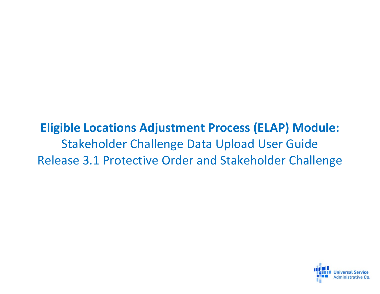# **Eligible Locations Adjustment Process (ELAP) Module:** Stakeholder Challenge Data Upload User Guide Release 3.1 Protective Order and Stakeholder Challenge

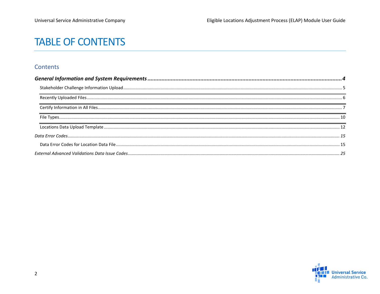# **TABLE OF CONTENTS**

#### Contents

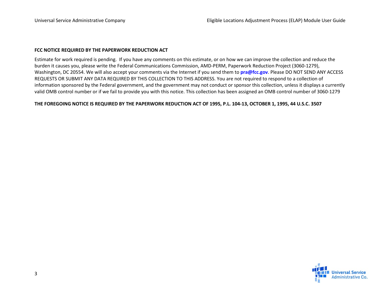#### **FCC NOTICE REQUIRED BY THE PAPERWORK REDUCTION ACT**

Estimate for work required is pending. If you have any comments on this estimate, or on how we can improve the collection and reduce the burden it causes you, please write the Federal Communications Commission, AMD-PERM, Paperwork Reduction Project (3060-1279), Washington, DC 20554. We will also accept your comments via the Internet if you send them to **pra@fcc.gov**. Please DO NOT SEND ANY ACCESS REQUESTS OR SUBMIT ANY DATA REQUIRED BY THIS COLLECTION TO THIS ADDRESS. You are not required to respond to a collection of information sponsored by the Federal government, and the government may not conduct or sponsor this collection, unless it displays a currently valid OMB control number or if we fail to provide you with this notice. This collection has been assigned an OMB control number of 3060-1279

#### **THE FOREGOING NOTICE IS REQUIRED BY THE PAPERWORK REDUCTION ACT OF 1995, P.L. 104-13, OCTOBER 1, 1995, 44 U.S.C. 3507**

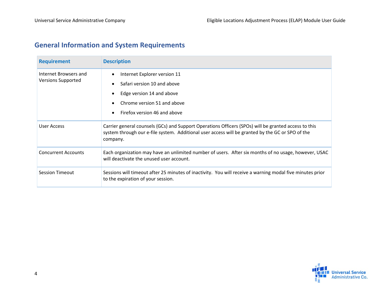# <span id="page-3-0"></span>**General Information and System Requirements**

| <b>Requirement</b>                                 | <b>Description</b>                                                                                                                                                                                                       |
|----------------------------------------------------|--------------------------------------------------------------------------------------------------------------------------------------------------------------------------------------------------------------------------|
| Internet Browsers and<br><b>Versions Supported</b> | Internet Explorer version 11<br>$\bullet$<br>Safari version 10 and above<br>$\bullet$<br>Edge version 14 and above<br>$\bullet$<br>Chrome version 51 and above<br>$\bullet$<br>Firefox version 46 and above<br>$\bullet$ |
| User Access                                        | Carrier general counsels (GCs) and Support Operations Officers (SPOs) will be granted access to this<br>system through our e-file system. Additional user access will be granted by the GC or SPO of the<br>company.     |
| <b>Concurrent Accounts</b>                         | Each organization may have an unlimited number of users. After six months of no usage, however, USAC<br>will deactivate the unused user account.                                                                         |
| <b>Session Timeout</b>                             | Sessions will timeout after 25 minutes of inactivity. You will receive a warning modal five minutes prior<br>to the expiration of your session.                                                                          |

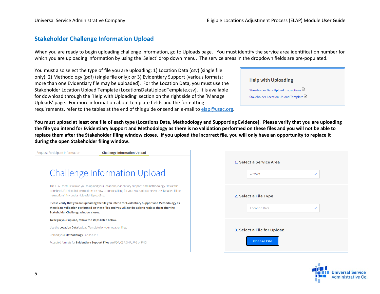#### <span id="page-4-0"></span>**Stakeholder Challenge Information Upload**

When you are ready to begin uploading challenge information, go to Uploads page. You must identify the service area identification number for which you are uploading information by using the 'Select' drop down menu. The service areas in the dropdown fields are pre-populated.

You must also select the type of file you are uploading: 1) Location Data (csv) (single file only); 2) Methodology (pdf) (single file only); or 3) Evidentiary Support (various formats; more than one Evidentiary file may be uploaded). For the Location Data, you must use the Stakeholder Location Upload Template (LocationsDataUploadTemplate.csv). It is available for download through the 'Help with Uploading' section on the right side of the 'Manage Uploads' page. For more information about template fields and the formatting requirements, refer to the tables at the end of this guide or send an e-mail to [elap@usac.org.](mailto:elap@usac.org)

**Help with Uploading** 

Stakeholder Data Upload Instructions Stakeholder Location Upload Template

**You must upload at least one file of each type (Locations Data, Methodology and Supporting Evidence)**. **Please verify that you are uploading the file you intend for Evidentiary Support and Methodology as there is no validation performed on these files and you will not be able to replace them after the Stakeholder filing window closes. If you upload the incorrect file, you will only have an opportunity to replace it during the open Stakeholder filing window.**

| Request Participant Information                                | <b>Challenge Information Upload</b>                                                                                                                                                                                           |  |
|----------------------------------------------------------------|-------------------------------------------------------------------------------------------------------------------------------------------------------------------------------------------------------------------------------|--|
|                                                                |                                                                                                                                                                                                                               |  |
|                                                                | Challenge Information Upload                                                                                                                                                                                                  |  |
| Instructions' link under Help with Uploading.                  | The ELAP module allows you to upload your locations, evidentiary support, and methodology files at the<br>state level. For detailed instructions on how to create a filing for your state, please select the 'Detailed Filing |  |
| Stakeholder Challenge window closes.                           | Please verify that you are uploading the file you intend for Evidentiary Support and Methodology as<br>there is no validation performed on these files and you will not be able to replace them after the                     |  |
| To begin your upload, follow the steps listed below.           |                                                                                                                                                                                                                               |  |
| Use the Location Data Upload Template for your location files. |                                                                                                                                                                                                                               |  |
| Upload your Methodology File as a PDF.                         |                                                                                                                                                                                                                               |  |
|                                                                | Accepted formats for Evidentiary Support Files are PDF, CSF, SHP, JPG or PNG.                                                                                                                                                 |  |
|                                                                |                                                                                                                                                                                                                               |  |

| 439073<br>$\checkmark$               |
|--------------------------------------|
| 2. Select a File Type                |
| <b>Location Data</b><br>$\checkmark$ |
|                                      |

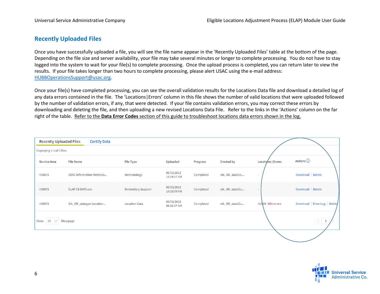#### <span id="page-5-0"></span>**Recently Uploaded Files**

Once you have successfully uploaded a file, you will see the file name appear in the 'Recently Uploaded Files' table at the bottom of the page. Depending on the file size and server availability, your file may take several minutes or longer to complete processing. You do not have to stay logged into the system to wait for your file(s) to complete processing. Once the upload process is completed, you can return later to view the results. If your file takes longer than two hours to complete processing, please alert USAC using the e-mail address: [HUBBOperationsSupport@usac.org.](mailto:HUBBOperationsSupport@usac.org)

Once your file(s) have completed processing, you can see the overall validation results for the Locations Data file and download a detailed log of any data errors contained in the file. The 'Locations|Errors' column in this file shows the number of valid locations that were uploaded followed by the number of validation errors, if any, that were detected. If your file contains validation errors, you may correct these errors by downloading and deleting the file, and then uploading a new revised Locations Data File. Refer to the links in the 'Actions' column on the far right of the table. Refer to the **Data Error Codes** section of this guide to troubleshoot locations data errors shown in the log.

| <b>Recently Uploaded Files</b> | <b>Certify Data</b>             |                            |                           |                 |                   |                    |                               |
|--------------------------------|---------------------------------|----------------------------|---------------------------|-----------------|-------------------|--------------------|-------------------------------|
| Displaying 1-3 of 3 files      |                                 |                            |                           |                 |                   |                    |                               |
| <b>Service Area</b>            | <b>File Name</b>                | <b>File Type</b>           | Uploaded                  | <b>Progress</b> | <b>Created by</b> | Locations   Errors | Actions $(i)$                 |
| 439073                         | <b>USAC Information Methodo</b> | Methodology                | 05/03/2022<br>10:24:57 AM | Completed       | stk_OK_stateGo    |                    | Download Delete               |
| 439073                         | <b>ELAP CB DATA.csv</b>         | <b>Evidentiary Support</b> | 05/03/2022<br>10:23:09 AM | Completed       | stk_OK_stateGo    |                    | Download Delete               |
| 439073                         | Stk_OK_stategov Location        | <b>Location Data</b>       | 05/03/2022<br>09:22:37 AM | Completed       | stk_OK_stateGo    | 41569 851 errors   | Download   Error Log   Delete |
| Show<br>$25 \sqrt{ }$          | files/page                      |                            |                           |                 |                   |                    | $\leq$<br>$\mathbf{1}$        |
|                                |                                 |                            |                           |                 |                   |                    |                               |

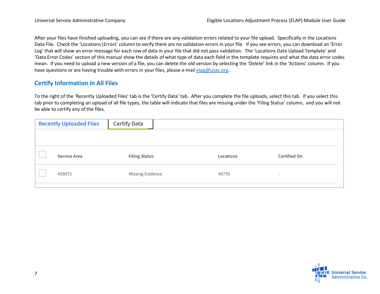After your files have finished uploading, you can see if there are any validation errors related to your file upload. Specifically in the Locations Data File. Check the 'Locations|Errors' column to verify there are no validation errors in your file. If you see errors, you can download an 'Error Log' that will show an error message for each row of data in your file that did not pass validation. The 'Locations Data Upload Template' and 'Data Error Codes' section of this manual show the details of what type of data each field in the template requires and what the data error codes mean. If you need to upload a new version of a file, you can delete the old version by selecting the 'Delete' link in the 'Actions' column. If you have questions or are having trouble with errors in your files, please e-mail [elap@usac.org.](mailto:elap@usac.org)

#### <span id="page-6-0"></span>**Certify Information in All Files**

To the right of the 'Recently Uploaded Files' tab is the 'Certify Data' tab. After you complete the file uploads, select this tab. If you select this tab prior to completing an upload of all file types, the table will indicate that files are missing under the 'Filing Status' column, and you will not be able to certify any of the files.

| <b>Recently Uploaded Files</b> | <b>Certify Data</b>     |           |                     |
|--------------------------------|-------------------------|-----------|---------------------|
|                                |                         |           |                     |
|                                |                         |           |                     |
| <b>Service Area</b>            | <b>Filing Status</b>    | Locations | <b>Certified On</b> |
| 439073                         | <b>Missing Evidence</b> | 40779     | $\sim$              |
|                                |                         |           |                     |

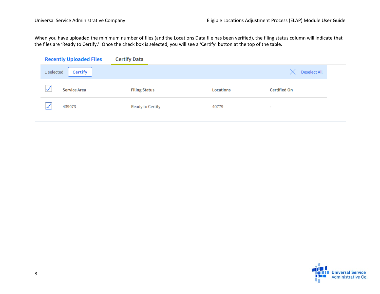When you have uploaded the minimum number of files (and the Locations Data file has been verified), the filing status column will indicate that the files are 'Ready to Certify.' Once the check box is selected, you will see a 'Certify' button at the top of the table.

| <b>Recently Uploaded Files</b> | <b>Certify Data</b>  |           |                     |  |
|--------------------------------|----------------------|-----------|---------------------|--|
| <b>Certify</b><br>1 selected   |                      |           | <b>Deselect All</b> |  |
| <b>Service Area</b>            | <b>Filing Status</b> | Locations | <b>Certified On</b> |  |
| 439073                         | Ready to Certify     | 40779     | $\sim$              |  |
|                                |                      |           |                     |  |

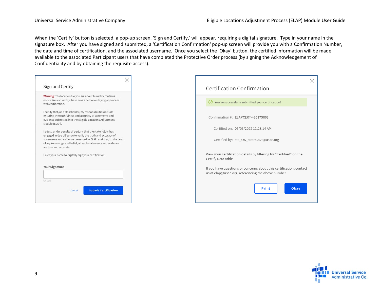When the 'Certify' button is selected, a pop-up screen, 'Sign and Certify,' will appear, requiring a digital signature. Type in your name in the signature box. After you have signed and submitted, a 'Certification Confirmation' pop-up screen will provide you with a Confirmation Number, the date and time of certification, and the associated username. Once you select the 'Okay' button, the certified information will be made available to the associated Participant users that have completed the Protective Order process (by signing the Acknowledgement of Confidentiality and by obtaining the requisite access).

| Sign and Certify                                                                                                                                                                                                           |  |
|----------------------------------------------------------------------------------------------------------------------------------------------------------------------------------------------------------------------------|--|
| Warning: The location file you are about to certify contains<br>errors. You can rectify these errors before certifying or proceed<br>with certification.                                                                   |  |
| I certify that, as a stakeholder, my responsibilities include<br>ensuring the truthfulness and accuracy of statements and<br>evidence submitted into the Eligible Locations Adjustment<br>Module (ELAP).                   |  |
| I attest, under penalty of perjury, that the stakeholder has                                                                                                                                                               |  |
| engaged in due diligence to verify the truth and accuracy of<br>statements and evidence presented in ELAP; and that, to the best<br>of my knowledge and belief, all such statements and evidence<br>are true and accurate. |  |
| Enter your name to digitally sign your certification.                                                                                                                                                                      |  |
| Your Signature                                                                                                                                                                                                             |  |
| OK State                                                                                                                                                                                                                   |  |
| <b>Submit Certification</b><br>Cancel                                                                                                                                                                                      |  |

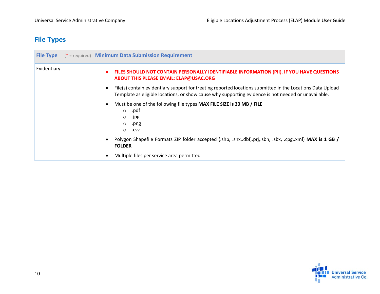# <span id="page-9-0"></span>**File Types**

|             | <b>File Type</b> (* = required) <b>Minimum Data Submission Requirement</b>                                                                                                                                                     |
|-------------|--------------------------------------------------------------------------------------------------------------------------------------------------------------------------------------------------------------------------------|
| Evidentiary | FILES SHOULD NOT CONTAIN PERSONALLY IDENTIFIABLE INFORMATION (PII). IF YOU HAVE QUESTIONS<br>$\bullet$<br><b>ABOUT THIS PLEASE EMAIL: ELAP@USAC.ORG</b>                                                                        |
|             | File(s) contain evidentiary support for treating reported locations submitted in the Locations Data Upload<br>$\bullet$<br>Template as eligible locations, or show cause why supporting evidence is not needed or unavailable. |
|             | Must be one of the following file types MAX FILE SIZE is 30 MB / FILE<br>$\bullet$<br>$\circ$ .pdf<br>.jpg<br>$\circ$<br>png.<br>$\circ$<br>.csv<br>$\circ$                                                                    |
|             | Polygon Shapefile Formats ZIP folder accepted (.shp, .shx,.dbf,.prj,.sbn, .sbx, .cpg,.xml) MAX is 1 GB /<br>$\bullet$<br><b>FOLDER</b>                                                                                         |
|             | Multiple files per service area permitted<br>$\bullet$                                                                                                                                                                         |

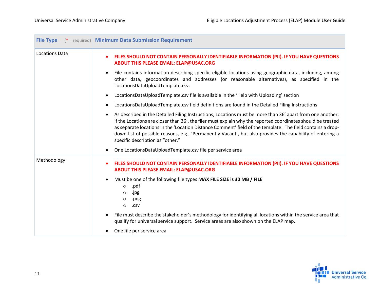|                       | <b>File Type</b> (* = required) Minimum Data Submission Requirement                                                                                                                                                                                                                                                                                                                                                                                                                                  |
|-----------------------|------------------------------------------------------------------------------------------------------------------------------------------------------------------------------------------------------------------------------------------------------------------------------------------------------------------------------------------------------------------------------------------------------------------------------------------------------------------------------------------------------|
| <b>Locations Data</b> | FILES SHOULD NOT CONTAIN PERSONALLY IDENTIFIABLE INFORMATION (PII). IF YOU HAVE QUESTIONS<br>$\bullet$<br><b>ABOUT THIS PLEASE EMAIL: ELAP@USAC.ORG</b>                                                                                                                                                                                                                                                                                                                                              |
|                       | File contains information describing specific eligible locations using geographic data, including, among<br>$\bullet$<br>other data, geocoordinates and addresses (or reasonable alternatives), as specified in the<br>LocationsDataUploadTemplate.csv.                                                                                                                                                                                                                                              |
|                       | LocationsDataUploadTemplate.csv file is available in the 'Help with Uploading' section<br>$\bullet$                                                                                                                                                                                                                                                                                                                                                                                                  |
|                       | LocationsDataUploadTemplate.csv field definitions are found in the Detailed Filing Instructions<br>$\bullet$                                                                                                                                                                                                                                                                                                                                                                                         |
|                       | As described in the Detailed Filing Instructions, Locations must be more than 36' apart from one another;<br>$\bullet$<br>if the Locations are closer than 36', the filer must explain why the reported coordinates should be treated<br>as separate locations in the 'Location Distance Comment' field of the template. The field contains a drop-<br>down list of possible reasons, e.g., 'Permanently Vacant', but also provides the capability of entering a<br>specific description as "other." |
|                       | One LocationsDataUploadTemplate.csv file per service area<br>$\bullet$                                                                                                                                                                                                                                                                                                                                                                                                                               |
| Methodology           | FILES SHOULD NOT CONTAIN PERSONALLY IDENTIFIABLE INFORMATION (PII). IF YOU HAVE QUESTIONS<br>$\bullet$<br><b>ABOUT THIS PLEASE EMAIL: ELAP@USAC.ORG</b>                                                                                                                                                                                                                                                                                                                                              |
|                       | Must be one of the following file types MAX FILE SIZE is 30 MB / FILE<br>$\bullet$<br>.pdf<br>$\circ$<br>.jpg<br>$\circ$<br>.png<br>$\circ$<br>.csv<br>$\circ$                                                                                                                                                                                                                                                                                                                                       |
|                       | File must describe the stakeholder's methodology for identifying all locations within the service area that<br>$\bullet$<br>qualify for universal service support. Service areas are also shown on the ELAP map.                                                                                                                                                                                                                                                                                     |
|                       | One file per service area<br>$\bullet$                                                                                                                                                                                                                                                                                                                                                                                                                                                               |

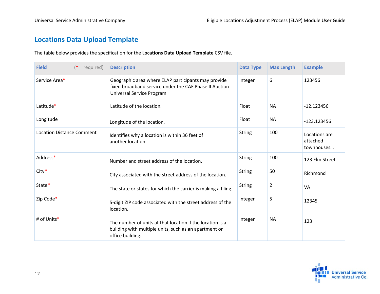## <span id="page-11-0"></span>**Locations Data Upload Template**

The table below provides the specification for the **Locations Data Upload Template** CSV file.

| <b>Field</b>                     | $(* = required)$ | <b>Description</b>                                                                                                                         | <b>Data Type</b> | <b>Max Length</b> | <b>Example</b>                          |
|----------------------------------|------------------|--------------------------------------------------------------------------------------------------------------------------------------------|------------------|-------------------|-----------------------------------------|
| Service Area*                    |                  | Geographic area where ELAP participants may provide<br>fixed broadband service under the CAF Phase II Auction<br>Universal Service Program | Integer          | 6                 | 123456                                  |
| Latitude*                        |                  | Latitude of the location.                                                                                                                  | Float            | <b>NA</b>         | $-12.123456$                            |
| Longitude                        |                  | Longitude of the location.                                                                                                                 | Float            | <b>NA</b>         | $-123.123456$                           |
| <b>Location Distance Comment</b> |                  | Identifies why a location is within 36 feet of<br>another location.                                                                        | <b>String</b>    | 100               | Locations are<br>attached<br>townhouses |
| Address*                         |                  | Number and street address of the location.                                                                                                 | <b>String</b>    | 100               | 123 Elm Street                          |
| $City*$                          |                  | City associated with the street address of the location.                                                                                   | <b>String</b>    | 50                | Richmond                                |
| State*                           |                  | The state or states for which the carrier is making a filing.                                                                              | <b>String</b>    | $\overline{2}$    | VA                                      |
| Zip Code*                        |                  | 5-digit ZIP code associated with the street address of the<br>location.                                                                    | Integer          | 5                 | 12345                                   |
| # of Units*                      |                  | The number of units at that location if the location is a<br>building with multiple units, such as an apartment or<br>office building.     | Integer          | <b>NA</b>         | 123                                     |

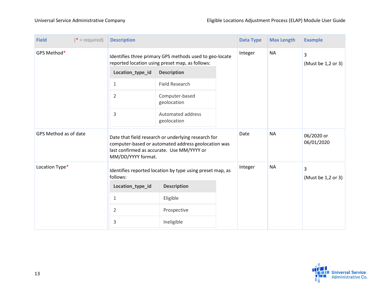| <b>Field</b><br>$(* = required)$ | <b>Description</b>                                                                                                                                                             |                                                           |  | <b>Data Type</b> | <b>Max Length</b> | <b>Example</b>           |
|----------------------------------|--------------------------------------------------------------------------------------------------------------------------------------------------------------------------------|-----------------------------------------------------------|--|------------------|-------------------|--------------------------|
| GPS Method*                      | Identifies three primary GPS methods used to geo-locate<br>reported location using preset map, as follows:                                                                     |                                                           |  | Integer          | <b>NA</b>         | 3<br>(Must be 1,2 or 3)  |
|                                  | Location_type_id                                                                                                                                                               | <b>Description</b>                                        |  |                  |                   |                          |
|                                  | $\mathbf 1$                                                                                                                                                                    | <b>Field Research</b>                                     |  |                  |                   |                          |
|                                  | $\overline{2}$                                                                                                                                                                 | Computer-based<br>geolocation                             |  |                  |                   |                          |
|                                  | 3                                                                                                                                                                              | Automated address<br>geolocation                          |  |                  |                   |                          |
| GPS Method as of date            | Date that field research or underlying research for<br>computer-based or automated address geolocation was<br>last confirmed as accurate. Use MM/YYYY or<br>MM/DD/YYYY format. |                                                           |  | Date             | <b>NA</b>         | 06/2020 or<br>06/01/2020 |
| Location Type*                   | follows:                                                                                                                                                                       | Identifies reported location by type using preset map, as |  | Integer          | <b>NA</b>         | 3<br>(Must be 1,2 or 3)  |
|                                  | Location_type_id                                                                                                                                                               | <b>Description</b>                                        |  |                  |                   |                          |
|                                  | 1                                                                                                                                                                              | Eligible                                                  |  |                  |                   |                          |
|                                  | $\overline{2}$                                                                                                                                                                 | Prospective                                               |  |                  |                   |                          |
|                                  | 3                                                                                                                                                                              | Ineligible                                                |  |                  |                   |                          |

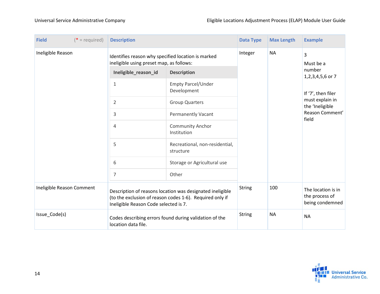| <b>Field</b>              | $(* = required)$ | <b>Description</b>                                                                                                                                             |                                             | <b>Data Type</b> | <b>Max Length</b>                  | <b>Example</b>                                          |
|---------------------------|------------------|----------------------------------------------------------------------------------------------------------------------------------------------------------------|---------------------------------------------|------------------|------------------------------------|---------------------------------------------------------|
| Ineligible Reason         |                  | Identifies reason why specified location is marked<br>ineligible using preset map, as follows:                                                                 |                                             | Integer          | <b>NA</b>                          | $\overline{3}$<br>Must be a                             |
|                           |                  | Ineligible_reason_id                                                                                                                                           | <b>Description</b>                          |                  |                                    | number<br>1,2,3,4,5,6 or 7                              |
|                           |                  | 1                                                                                                                                                              | Empty Parcel/Under<br>Development           |                  | If '7', then filer                 |                                                         |
|                           |                  | $\overline{2}$                                                                                                                                                 | <b>Group Quarters</b>                       |                  | must explain in<br>the 'Ineligible |                                                         |
|                           |                  | 3                                                                                                                                                              | Permanently Vacant                          |                  | Reason Comment'<br>field           |                                                         |
|                           |                  | 4                                                                                                                                                              | <b>Community Anchor</b><br>Institution      |                  |                                    |                                                         |
|                           |                  | 5                                                                                                                                                              | Recreational, non-residential,<br>structure |                  |                                    |                                                         |
|                           |                  | 6                                                                                                                                                              | Storage or Agricultural use                 |                  |                                    |                                                         |
|                           |                  | 7                                                                                                                                                              | Other                                       |                  |                                    |                                                         |
| Ineligible Reason Comment |                  | Description of reasons location was designated ineligible<br>(to the exclusion of reason codes 1-6). Required only if<br>Ineligible Reason Code selected is 7. |                                             | <b>String</b>    | 100                                | The location is in<br>the process of<br>being condemned |
| Issue_Code(s)             |                  | Codes describing errors found during validation of the<br>location data file.                                                                                  |                                             | <b>String</b>    | <b>NA</b>                          | <b>NA</b>                                               |

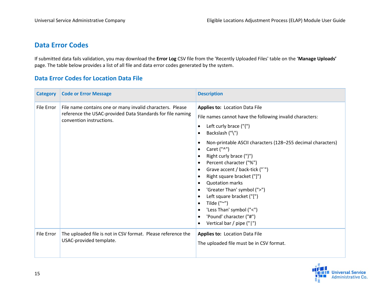### <span id="page-14-0"></span>**Data Error Codes**

If submitted data fails validation, you may download the **Error Log** CSV file from the 'Recently Uploaded Files' table on the '**Manage Uploads'**  page. The table below provides a list of all file and data error codes generated by the system.

#### <span id="page-14-1"></span>**Data Error Codes for Location Data File**

| <b>Category</b> | <b>Code or Error Message</b>                                                                                                                        | <b>Description</b>                                                                                                                                                                                                                                                                                                                                                                                                                                                                                                                                                                                                                                                                   |
|-----------------|-----------------------------------------------------------------------------------------------------------------------------------------------------|--------------------------------------------------------------------------------------------------------------------------------------------------------------------------------------------------------------------------------------------------------------------------------------------------------------------------------------------------------------------------------------------------------------------------------------------------------------------------------------------------------------------------------------------------------------------------------------------------------------------------------------------------------------------------------------|
| File Error      | File name contains one or many invalid characters. Please<br>reference the USAC-provided Data Standards for file naming<br>convention instructions. | Applies to: Location Data File<br>File names cannot have the following invalid characters:<br>Left curly brace $(""$ )<br>$\bullet$<br>Backslash ("\")<br>٠<br>Non-printable ASCII characters (128-255 decimal characters)<br>٠<br>Caret $("^n")$<br>$\bullet$<br>Right curly brace ("}")<br>$\bullet$<br>Percent character ("%")<br>$\bullet$<br>Grave accent / back-tick ("`")<br>$\bullet$<br>Right square bracket ("]")<br>$\bullet$<br><b>Quotation marks</b><br>$\bullet$<br>'Greater Than' symbol (">")<br>Left square bracket ("[")<br>$\bullet$<br>Tilde $("~")$<br>٠<br>'Less Than' symbol ("<")<br>$\bullet$<br>'Pound' character ("#")<br>Vertical bar / pipe (" ")<br>٠ |
| File Error      | The uploaded file is not in CSV format. Please reference the<br>USAC-provided template.                                                             | Applies to: Location Data File<br>The uploaded file must be in CSV format.                                                                                                                                                                                                                                                                                                                                                                                                                                                                                                                                                                                                           |

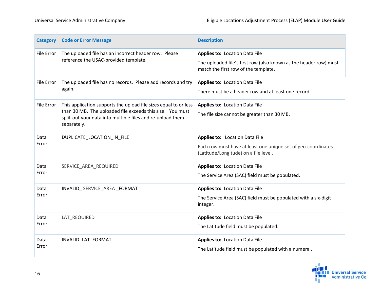| <b>Category</b> | <b>Code or Error Message</b>                                                                                                                                                                               | <b>Description</b>                                                                                                                                 |
|-----------------|------------------------------------------------------------------------------------------------------------------------------------------------------------------------------------------------------------|----------------------------------------------------------------------------------------------------------------------------------------------------|
| File Error      | The uploaded file has an incorrect header row. Please<br>reference the USAC-provided template.                                                                                                             | <b>Applies to: Location Data File</b><br>The uploaded file's first row (also known as the header row) must<br>match the first row of the template. |
| File Error      | The uploaded file has no records. Please add records and try<br>again.                                                                                                                                     | Applies to: Location Data File<br>There must be a header row and at least one record.                                                              |
| File Error      | This application supports the upload file sizes equal to or less<br>than 30 MB. The uploaded file exceeds this size. You must<br>split-out your data into multiple files and re-upload them<br>separately. | <b>Applies to: Location Data File</b><br>The file size cannot be greater than 30 MB.                                                               |
| Data<br>Error   | DUPLICATE_LOCATION_IN_FILE                                                                                                                                                                                 | Applies to: Location Data File<br>Each row must have at least one unique set of geo-coordinates<br>(Latitude/Longitude) on a file level.           |
| Data<br>Error   | SERVICE_AREA_REQUIRED                                                                                                                                                                                      | <b>Applies to: Location Data File</b><br>The Service Area (SAC) field must be populated.                                                           |
| Data<br>Error   | INVALID_SERVICE_AREA_FORMAT                                                                                                                                                                                | <b>Applies to: Location Data File</b><br>The Service Area (SAC) field must be populated with a six-digit<br>integer.                               |
| Data<br>Error   | LAT_REQUIRED                                                                                                                                                                                               | Applies to: Location Data File<br>The Latitude field must be populated.                                                                            |
| Data<br>Error   | INVALID_LAT_FORMAT                                                                                                                                                                                         | Applies to: Location Data File<br>The Latitude field must be populated with a numeral.                                                             |

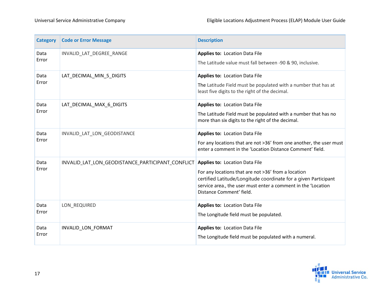| <b>Category</b> | <b>Code or Error Message</b>                     | <b>Description</b>                                                                                                                                                                                                                                           |
|-----------------|--------------------------------------------------|--------------------------------------------------------------------------------------------------------------------------------------------------------------------------------------------------------------------------------------------------------------|
| Data<br>Error   | INVALID_LAT_DEGREE_RANGE                         | Applies to: Location Data File<br>The Latitude value must fall between -90 & 90, inclusive.                                                                                                                                                                  |
| Data<br>Error   | LAT_DECIMAL_MIN_5_DIGITS                         | Applies to: Location Data File<br>The Latitude Field must be populated with a number that has at<br>least five digits to the right of the decimal.                                                                                                           |
| Data<br>Error   | LAT_DECIMAL_MAX_6_DIGITS                         | Applies to: Location Data File<br>The Latitude Field must be populated with a number that has no<br>more than six digits to the right of the decimal.                                                                                                        |
| Data<br>Error   | INVALID_LAT_LON_GEODISTANCE                      | Applies to: Location Data File<br>For any locations that are not >36' from one another, the user must<br>enter a comment in the 'Location Distance Comment' field.                                                                                           |
| Data<br>Error   | INVALID_LAT_LON_GEODISTANCE_PARTICIPANT_CONFLICT | <b>Applies to: Location Data File</b><br>For any locations that are not >36' from a location<br>certified Latitude/Longitude coordinate for a given Participant<br>service area., the user must enter a comment in the 'Location<br>Distance Comment' field. |
| Data<br>Error   | LON REQUIRED                                     | Applies to: Location Data File<br>The Longitude field must be populated.                                                                                                                                                                                     |
| Data<br>Error   | INVALID_LON_FORMAT                               | Applies to: Location Data File<br>The Longitude field must be populated with a numeral.                                                                                                                                                                      |

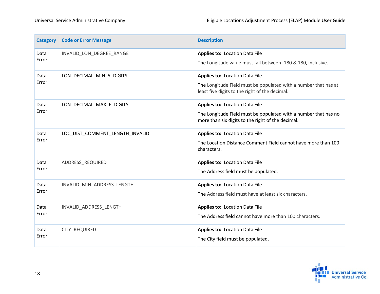| <b>Category</b> | <b>Code or Error Message</b>    | <b>Description</b>                                                                                                                                     |
|-----------------|---------------------------------|--------------------------------------------------------------------------------------------------------------------------------------------------------|
| Data<br>Error   | INVALID_LON_DEGREE_RANGE        | Applies to: Location Data File<br>The Longitude value must fall between -180 & 180, inclusive.                                                         |
| Data<br>Error   | LON_DECIMAL_MIN_5_DIGITS        | Applies to: Location Data File<br>The Longitude Field must be populated with a number that has at<br>least five digits to the right of the decimal.    |
| Data<br>Error   | LON_DECIMAL_MAX_6_DIGITS        | Applies to: Location Data File<br>The Longitude Field must be populated with a number that has no<br>more than six digits to the right of the decimal. |
| Data<br>Error   | LOC_DIST_COMMENT_LENGTH_INVALID | Applies to: Location Data File<br>The Location Distance Comment Field cannot have more than 100<br>characters.                                         |
| Data<br>Error   | ADDRESS_REQUIRED                | <b>Applies to: Location Data File</b><br>The Address field must be populated.                                                                          |
| Data<br>Error   | INVALID_MIN_ADDRESS_LENGTH      | <b>Applies to: Location Data File</b><br>The Address field must have at least six characters.                                                          |
| Data<br>Error   | INVALID ADDRESS LENGTH          | <b>Applies to: Location Data File</b><br>The Address field cannot have more than 100 characters.                                                       |
| Data<br>Error   | <b>CITY REQUIRED</b>            | Applies to: Location Data File<br>The City field must be populated.                                                                                    |

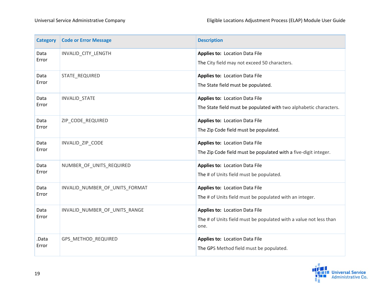| <b>Category</b> | <b>Code or Error Message</b>   | <b>Description</b>                                                                                                 |
|-----------------|--------------------------------|--------------------------------------------------------------------------------------------------------------------|
| Data<br>Error   | INVALID_CITY_LENGTH            | Applies to: Location Data File<br>The City field may not exceed 50 characters.                                     |
| Data<br>Error   | STATE_REQUIRED                 | <b>Applies to: Location Data File</b><br>The State field must be populated.                                        |
| Data<br>Error   | INVALID_STATE                  | Applies to: Location Data File<br>The State field must be populated with two alphabetic characters.                |
| Data<br>Error   | ZIP_CODE_REQUIRED              | <b>Applies to: Location Data File</b><br>The Zip Code field must be populated.                                     |
| Data<br>Error   | INVALID_ZIP_CODE               | Applies to: Location Data File<br>The Zip Code field must be populated with a five-digit integer.                  |
| Data<br>Error   | NUMBER_OF_UNITS_REQUIRED       | Applies to: Location Data File<br>The # of Units field must be populated.                                          |
| Data<br>Error   | INVALID_NUMBER_OF_UNITS_FORMAT | <b>Applies to: Location Data File</b><br>The # of Units field must be populated with an integer.                   |
| Data<br>Error   | INVALID_NUMBER_OF_UNITS_RANGE  | <b>Applies to: Location Data File</b><br>The # of Units field must be populated with a value not less than<br>one. |
| .Data<br>Error  | GPS_METHOD_REQUIRED            | Applies to: Location Data File<br>The GPS Method field must be populated.                                          |

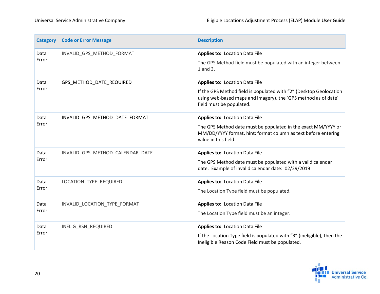| <b>Category</b> | <b>Code or Error Message</b>     | <b>Description</b>                                                                                                                                                                                        |
|-----------------|----------------------------------|-----------------------------------------------------------------------------------------------------------------------------------------------------------------------------------------------------------|
| Data<br>Error   | INVALID_GPS_METHOD_FORMAT        | Applies to: Location Data File<br>The GPS Method field must be populated with an integer between<br>1 and 3.                                                                                              |
| Data<br>Error   | GPS_METHOD_DATE_REQUIRED         | <b>Applies to: Location Data File</b><br>If the GPS Method field is populated with "2" (Desktop Geolocation<br>using web-based maps and imagery), the 'GPS method as of date'<br>field must be populated. |
| Data<br>Error   | INVALID_GPS_METHOD_DATE_FORMAT   | Applies to: Location Data File<br>The GPS Method date must be populated in the exact MM/YYYY or<br>MM/DD/YYYY format, hint: format column as text before entering<br>value in this field.                 |
| Data<br>Error   | INVALID_GPS_METHOD_CALENDAR_DATE | Applies to: Location Data File<br>The GPS Method date must be populated with a valid calendar<br>date. Example of invalid calendar date: 02/29/2019                                                       |
| Data<br>Error   | LOCATION_TYPE_REQUIRED           | Applies to: Location Data File<br>The Location Type field must be populated.                                                                                                                              |
| Data<br>Error   | INVALID_LOCATION_TYPE_FORMAT     | Applies to: Location Data File<br>The Location Type field must be an integer.                                                                                                                             |
| Data<br>Error   | INELIG RSN REQUIRED              | <b>Applies to: Location Data File</b><br>If the Location Type field is populated with "3" (ineligible), then the<br>Ineligible Reason Code Field must be populated.                                       |

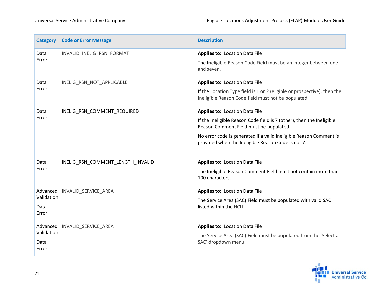| <b>Category</b>             | <b>Code or Error Message</b>      | <b>Description</b>                                                                                                                                                |
|-----------------------------|-----------------------------------|-------------------------------------------------------------------------------------------------------------------------------------------------------------------|
| Data<br>Error               | INVALID_INELIG_RSN_FORMAT         | Applies to: Location Data File<br>The Ineligible Reason Code Field must be an integer between one                                                                 |
|                             |                                   | and seven.                                                                                                                                                        |
| Data<br>Error               | INELIG_RSN_NOT_APPLICABLE         | Applies to: Location Data File<br>If the Location Type field is 1 or 2 (eligible or prospective), then the<br>Ineligible Reason Code field must not be populated. |
| Data                        | INELIG_RSN_COMMENT_REQUIRED       | Applies to: Location Data File                                                                                                                                    |
| Error                       |                                   | If the Ineligible Reason Code field is 7 (other), then the Ineligible<br>Reason Comment Field must be populated.                                                  |
|                             |                                   | No error code is generated if a valid Ineligible Reason Comment is<br>provided when the Ineligible Reason Code is not 7.                                          |
| Data                        | INELIG_RSN_COMMENT_LENGTH_INVALID | Applies to: Location Data File                                                                                                                                    |
| Error                       |                                   | The Ineligible Reason Comment Field must not contain more than<br>100 characters.                                                                                 |
| Advanced                    | INVALID_SERVICE_AREA              | Applies to: Location Data File                                                                                                                                    |
| Validation<br>Data<br>Error |                                   | The Service Area (SAC) Field must be populated with valid SAC<br>listed within the HCLI.                                                                          |
| Advanced                    | INVALID_SERVICE_AREA              | Applies to: Location Data File                                                                                                                                    |
| Validation<br>Data<br>Error |                                   | The Service Area (SAC) Field must be populated from the 'Select a<br>SAC' dropdown menu.                                                                          |

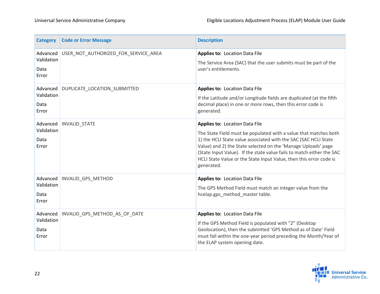| <b>Category</b>                         | <b>Code or Error Message</b>         | <b>Description</b>                                                                                                                                                                                                                                                                                                                                                                                  |
|-----------------------------------------|--------------------------------------|-----------------------------------------------------------------------------------------------------------------------------------------------------------------------------------------------------------------------------------------------------------------------------------------------------------------------------------------------------------------------------------------------------|
| Advanced<br>Validation<br>Data<br>Error | USER_NOT_AUTHORIZED_FOR_SERVICE_AREA | <b>Applies to: Location Data File</b><br>The Service Area (SAC) that the user submits must be part of the<br>user's entitlements.                                                                                                                                                                                                                                                                   |
| Advanced<br>Validation<br>Data<br>Error | DUPLICATE_LOCATION_SUBMITTED         | <b>Applies to: Location Data File</b><br>If the Latitude and/or Longitude fields are duplicated (at the fifth<br>decimal place) in one or more rows, then this error code is<br>generated.                                                                                                                                                                                                          |
| Advanced<br>Validation<br>Data<br>Error | INVALID_STATE                        | Applies to: Location Data File<br>The State Field must be populated with a value that matches both<br>1) the HCLI State value associated with the SAC (SAC HCLI State<br>Value) and 2) the State selected on the 'Manage Uploads' page<br>(State Input Value). If the state value fails to match either the SAC<br>HCLI State Value or the State Input Value, then this error code is<br>generated. |
| Advanced<br>Validation<br>Data<br>Error | INVALID_GPS_METHOD                   | Applies to: Location Data File<br>The GPS Method Field must match an integer value from the<br>hcelap.gps_method_master table.                                                                                                                                                                                                                                                                      |
| Advanced<br>Validation<br>Data<br>Error | INVALID GPS METHOD AS OF DATE        | <b>Applies to: Location Data File</b><br>If the GPS Method Field is populated with "2" (Desktop<br>Geolocation), then the submitted 'GPS Method as of Date' Field<br>must fall within the one-year period preceding the Month/Year of<br>the ELAP system opening date.                                                                                                                              |

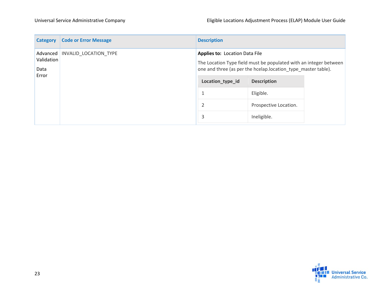| <b>Category</b>                         | <b>Code or Error Message</b> | <b>Description</b>                                                                                                                                                          |                       |  |
|-----------------------------------------|------------------------------|-----------------------------------------------------------------------------------------------------------------------------------------------------------------------------|-----------------------|--|
| Advanced<br>Validation<br>Data<br>Error | INVALID_LOCATION_TYPE        | <b>Applies to: Location Data File</b><br>The Location Type field must be populated with an integer between<br>one and three (as per the hcelap.location_type_master table). |                       |  |
|                                         |                              | Location_type_id                                                                                                                                                            | <b>Description</b>    |  |
|                                         |                              | 1                                                                                                                                                                           | Eligible.             |  |
|                                         |                              | $\overline{2}$                                                                                                                                                              | Prospective Location. |  |
|                                         |                              | 3                                                                                                                                                                           | Ineligible.           |  |

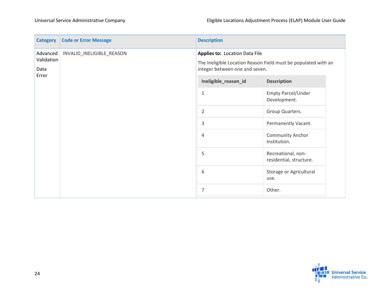| Category                                                    | <b>Code or Error Message</b>                                                                                                              | <b>Description</b>                            |                                 |
|-------------------------------------------------------------|-------------------------------------------------------------------------------------------------------------------------------------------|-----------------------------------------------|---------------------------------|
| Advanced<br>INVALID_INELIGIBLE_REASON<br>Validation<br>Data | <b>Applies to: Location Data File</b><br>The Ineligible Location Reason Field must be populated with an<br>integer between one and seven. |                                               |                                 |
| Error                                                       |                                                                                                                                           | Ineligible_reason_id                          | <b>Description</b>              |
|                                                             | $\mathbf{1}$                                                                                                                              | Empty Parcel/Under<br>Development.            |                                 |
|                                                             |                                                                                                                                           | $\overline{2}$                                | Group Quarters.                 |
|                                                             |                                                                                                                                           | 3                                             | Permanently Vacant.             |
|                                                             | $\overline{4}$                                                                                                                            | <b>Community Anchor</b><br>Institution.       |                                 |
|                                                             | 5                                                                                                                                         | Recreational, non-<br>residential, structure. |                                 |
|                                                             |                                                                                                                                           | 6                                             | Storage or Agricultural<br>use. |
|                                                             | $\overline{7}$                                                                                                                            | Other.                                        |                                 |